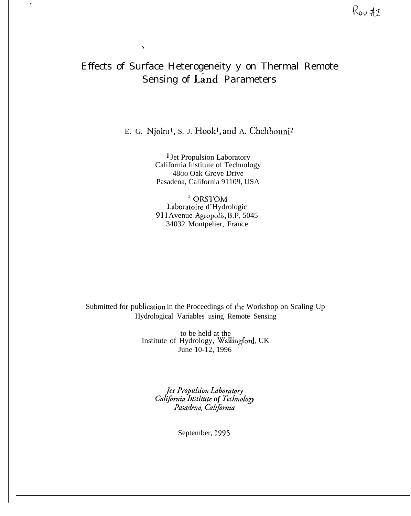# Effects of Surface Heterogeneity y on Thermal Remote **Sensing of Land Parameters**

 $\boldsymbol{\checkmark}$ 

 $\ddot{\phantom{a}}$ 

E. G. Njoku<sup>1</sup>, S. J. Hook<sup>1</sup>, and A. Chehbouni<sup>2</sup>

<sup>1</sup> Jet Propulsion Laboratory California Institute of Technology 4800 Oak Grove Drive Pasadena, California 91109, USA

<sup>2</sup> ORSTOM Laboratoire d'Hydrologic 911 Avenue Agropolis, B.P. 5045 34032 Montpelier, France

Submitted for publication in the Proceedings of the Workshop on Scaling Up Hydrological Variables using Remote Sensing

> to be held at the Institute of Hydrology, Wallingford, UK June 10-12, 1996

> > Jet Propulsion Laboratory California Institute of Technology Pasadena, California

> > > September, 1995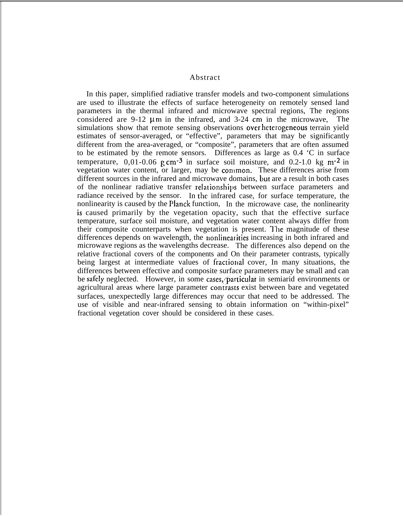Abstract

In this paper, simplified radiative transfer models and two-component simulations are used to illustrate the effects of surface heterogeneity on remotely sensed land parameters in the thermal infrared and microwave spectral regions, The regions considered are  $9-12 \mu m$  in the infrared, and  $3-24 \mu m$  in the microwave. The simulations show that remote sensing observations over heterogeneous terrain yield estimates of sensor-averaged, or "effective", parameters that may be significantly different from the area-averaged, or "composite", parameters that are often assumed to be estimated by the remote sensors. Differences as large as 0.4 'C in surface temperature,  $0.01$ -0.06 g cm<sup>-3</sup> in surface soil moisture, and 0.2-1.0 kg m<sup>-2</sup> in vegetation water content, or larger, may be common. These differences arise from different sources in the infrared and microwave domains, but are a result in both cases of the nonlinear radiative transfer relationships between surface parameters and radiance received by the sensor. In the infrared case, for surface temperature, the nonlinearity is caused by the Planck function, In the microwave case, the nonlinearity *h* is caused primarily by the vegetation opacity, such that the effective surface temperature, surface soil moisture, and vegetation water content always differ from their composite counterparts when vegetation is present. The magnitude of these differences depends on wavelength, the nonlinearities increasing in both infrared and microwave regions as the wavelengths decrease. The differences also depend on the relative fractional covers of the components and On their parameter contrasts, typically being largest at intermediate values of fractional cover, In many situations, the differences between effective and composite surface parameters may be small and can be safely neglected. However, in some cases, particular in semiarid environments or agricultural areas where large parameter contiasts exist between bare and vegetated surfaces, unexpectedly large differences may occur that need to be addressed. The use of visible and near-infrared sensing to obtain information on "within-pixel" fractional vegetation cover should be considered in these cases.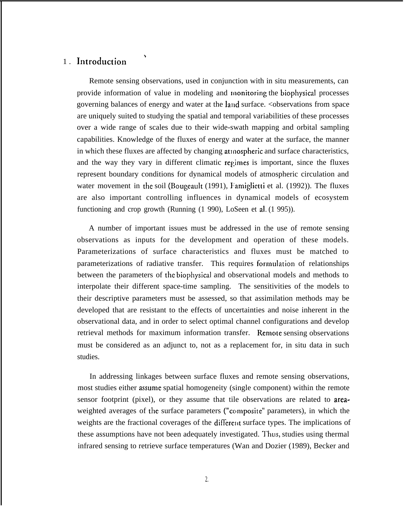# 1. Introduction

\

Remote sensing observations, used in conjunction with in situ measurements, can provide information of value in modeling and monitoring the biophysical processes governing balances of energy and water at the land surface. <observations from space are uniquely suited to studying the spatial and temporal variabilities of these processes over a wide range of scales due to their wide-swath mapping and orbital sampling capabilities. Knowledge of the fluxes of energy and water at the surface, the manner in which these fluxes are affected by changing atmospheric and surface characteristics, and the way they vary in different climatic regimes is important, since the fluxes represent boundary conditions for dynamical models of atmospheric circulation and water movement in the soil (Bougeault (1991), Famiglietti et al. (1992)). The fluxes are also important controlling influences in dynamical models of ecosystem functioning and crop growth (Running (1 990), LoSeen et al. (1 995)).

A number of important issues must be addressed in the use of remote sensing observations as inputs for the development and operation of these models. Parameterizations of surface characteristics and fluxes must be matched to parameterizations of radiative transfer. This requires formulation of relationships between the parameters of the biophysical and observational models and methods to interpolate their different space-time sampling. The sensitivities of the models to their descriptive parameters must be assessed, so that assimilation methods may be developed that are resistant to the effects of uncertainties and noise inherent in the observational data, and in order to select optimal channel configurations and develop retrieval methods for maximum information transfer. Remote sensing observations must be considered as an adjunct to, not as a replacement for, in situ data in such studies.

In addressing linkages between surface fluxes and remote sensing observations, most studies either assume spatial homogeneity (single component) within the remote sensor footprint (pixel), or they assume that tile observations are related to areaweighted averages of the surface parameters ("composite" parameters), in which the weights are the fractional coverages of the different surface types. The implications of these assumptions have not been adequately investigated. Thus, studies using thermal infrared sensing to retrieve surface temperatures (Wan and Dozier (1989), Becker and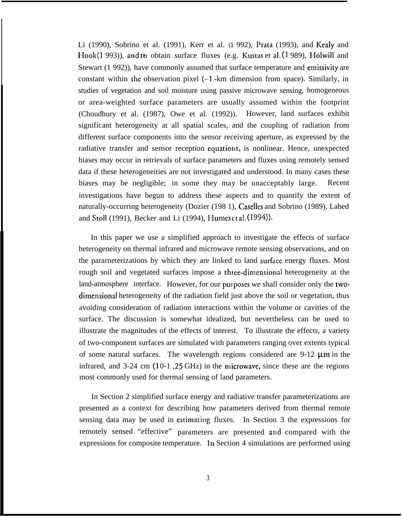Li (1990), Sobrino et al. (1991), Kerr et al. (1992), Prata (1993), and Kealy and Hook(1 993)), and to obtain surface fluxes (e.g. Kustas et al.  $(1\,989)$ , Holwill and Stewart (1 992)), have commonly assumed that surface temperature and emissivity are constant within the observation pixel  $(-1)$ -km dimension from space). Similarly, in studies of vegetation and soil moisture using passive microwave sensing, homogeneous or area-weighted surface parameters are usually assumed within the footprint (Choudhury et al. (1987), Owe et al. (1992)). However, land surfaces exhibit significant heterogeneity at all spatial scales, and the coupling of radiation from different surface components into the sensor receiving aperture, as expressed by the radiative transfer and sensor reception equations, is nonlinear. Hence, unexpected biases may occur in retrievals of surface parameters and fluxes using remotely sensed data if these heterogeneities are not investigated and understood. In many cases these biases may be negligible; in some they may be unacceptably large. Recent investigations have begun to address these aspects and to quantify the extent of naturally-occurring heterogeneity (Dozier (198 1), Caselles and Sobrino (1989), Labed and Stoll (1991), Becker and Li (1994), Humes ct al. (1994)).

In this paper we use a simplified approach to investigate the effects of surface heterogeneity on thermal infrared and microwave remote sensing observations, and on the pararneterizations by which they are linked to land surface energy fluxes. Most rough soil and vegetated surfaces impose a three-dimensional heterogeneity at the land-atmosphere interface. However, for our purposes we shall consider only the twodimensional heterogeneity of the radiation field just above the soil or vegetation, thus avoiding consideration of radiation interactions within the volume or cavities of the surface. The discussion is somewhat idealized, but nevertheless can be used to illustrate the magnitudes of the effects of interest. To illustrate the effects, a variety of two-component surfaces are simulated with parameters ranging over extents typical of some natural surfaces. The wavelength regions considered are  $9-12 \mu m$  in the infrared, and  $3-24$  cm  $(10-1)$ .  $25$  GHz) in the microwave, since these are the regions most commonly used for thermal sensing of land parameters.

In Section 2 simplified surface energy and radiative transfer parameterizations are presented as a context for describing how parameters derived from thermal remote sensing data may be used in estimating fluxes. In Section 3 the expressions for remotely sensed "effective" parameters are presented and compared with the expressions for composite temperature. In Section 4 simulations are performed using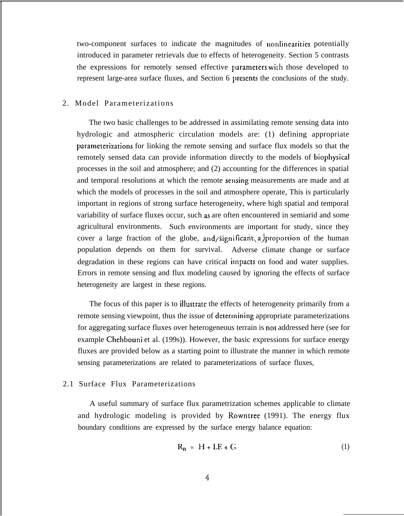two-component surfaces to indicate the magnitudes of nonlinearities potentially introduced in parameter retrievals due to effects of heterogeneity. Section 5 contrasts the expressions for remotely sensed effective parameters with those developed to represent large-area surface fluxes, and Section 6 presents the conclusions of the study.

## 2. Model Parameterizations

The two basic challenges to be addressed in assimilating remote sensing data into hydrologic and atmospheric circulation models are: (1) defining appropriate parameterizations for linking the remote sensing and surface flux models so that the remotely sensed data can provide information directly to the models of biophysical processes in the soil and atmosphere; and (2) accounting for the differences in spatial and temporal resolutions at which the remote sensing measurements are made and at which the models of processes in the soil and atmosphere operate, This is particularly important in regions of strong surface heterogeneity, where high spatial and temporal variability of surface fluxes occur, such as are often encountered in semiarid and some agricultural environments. Such environments are important for study, since they cover a large fraction of the globe, and significant a proportion of the human population depends on them for survival. Adverse climate change or surface degradation in these regions can have critical impacts on food and water supplies. Errors in remote sensing and flux modeling caused by ignoring the effects of surface heterogeneity are largest in these regions.

The focus of this paper is to illustrate the effects of heterogeneity primarily from a remote sensing viewpoint, thus the issue of determining appropriate parameterizations for aggregating surface fluxes over heterogeneous terrain is not addressed here (see for example Chehbouni et al. (199s)). However, the basic expressions for surface energy fluxes are provided below as a starting point to illustrate the manner in which remote sensing parameterizations are related to parameterizations of surface fluxes,

#### 2.1 Surface Flux Parameterizations

A useful summary of surface flux parametrization schemes applicable to climate and hydrologic modeling is provided by Rowntree (1991). The energy flux boundary conditions are expressed by the surface energy balance equation:

$$
R_n = H + LE + G \tag{1}
$$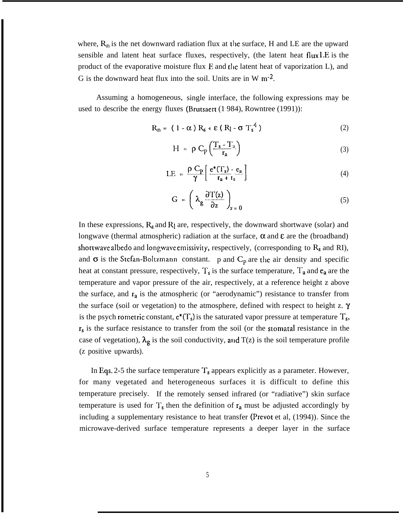where,  $R_n$  is the net downward radiation flux at the surface, H and LE are the upward sensible and latent heat surface fluxes, respectively, (the latent heat flux I,E is the product of the evaporative moisture flux E and the latent heat of vaporization L), and G is the downward heat flux into the soil. Units are in W  $m<sup>-2</sup>$ .

Assuming a homogeneous, single interface, the following expressions may be used to describe the energy fluxes (Brutsaert (1 984), Rowntree (1991)):

$$
R_n = (1 - \alpha) R_s + \varepsilon (R_1 - \sigma T_s^4)
$$
 (2)

$$
H = \rho C_p \left( \frac{T_s - T_a}{r_a} \right) \tag{3}
$$

$$
LE = \frac{\rho C_p}{\gamma} \left[ \frac{e^*(T_s) - e_a}{r_a + r_s} \right]
$$
 (4)

$$
G = \left(\lambda_g \frac{\partial T(z)}{\partial z}\right)_{z=0} \tag{5}
$$

In these expressions,  $R_s$  and  $R_l$  are, respectively, the downward shortwave (solar) and longwave (thermal atmospheric) radiation at the surface,  $\alpha$  and  $\epsilon$  are the (broadband) shortwave albedo and longwave emissivity, respectively, (corresponding to  $R_s$  and RI), and  $\sigma$  is the Stefan-Boltzmann constant. p and  $C_p$  are the air density and specific heat at constant pressure, respectively,  $T_s$  is the surface temperature,  $T_a$  and  $e_a$  are the temperature and vapor pressure of the air, respectively, at a reference height z above the surface, and  $r_a$  is the atmospheric (or "aerodynamic") resistance to transfer from the surface (soil or vegetation) to the atmosphere, defined with respect to height z.  $\gamma$ is the psych rometric constant,  $e^*(T_s)$  is the saturated vapor pressure at temperature  $T_s$ ,  $r_s$  is the surface resistance to transfer from the soil (or the stomatal resistance in the case of vegetation),  $\lambda_g$  is the soil conductivity, and T(z) is the soil temperature profile (z positive upwards).

In Eqs. 2-5 the surface temperature  $T_s$  appears explicitly as a parameter. However, for many vegetated and heterogeneous surfaces it is difficult to define this temperature precisely. If the remotely sensed infrared (or "radiative") skin surface temperature is used for  $T_s$  then the definition of  $r_a$  must be adjusted accordingly by including a supplementary resistance to heat transfer (Prevot et al, (1994)). Since the microwave-derived surface temperature represents a deeper layer in the surface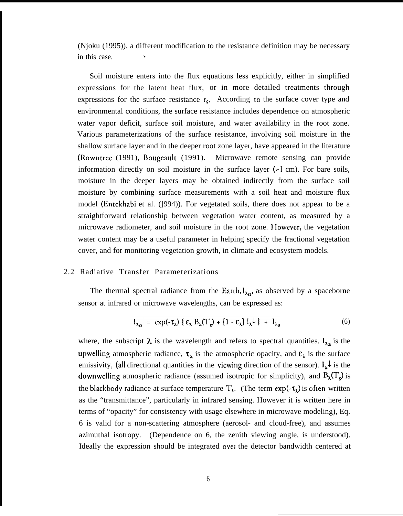(Njoku (1995)), a different modification to the resistance definition may be necessary in this case.

Soil moisture enters into the flux equations less explicitly, either in simplified expressions for the latent heat flux, or in more detailed treatments through expressions for the surface resistance  $r_s$ . According to the surface cover type and environmental conditions, the surface resistance includes dependence on atmospheric water vapor deficit, surface soil moisture, and water availability in the root zone. Various parameterizations of the surface resistance, involving soil moisture in the shallow surface layer and in the deeper root zone layer, have appeared in the literature (Rowntree (1991), Bougeault (1991). Microwave remote sensing can provide information directly on soil moisture in the surface layer  $(-1 \text{ cm})$ . For bare soils, moisture in the deeper layers may be obtained indirectly from the surface soil moisture by combining surface measurements with a soil heat and moisture flux model (Entekhabi et al. (]994)). For vegetated soils, there does not appear to be a straightforward relationship between vegetation water content, as measured by a microwave radiometer, and soil moisture in the root zone. However, the vegetation water content may be a useful parameter in helping specify the fractional vegetation cover, and for monitoring vegetation growth, in climate and ecosystem models.

### 2.2 Radiative Transfer Parameterizations

The thermal spectral radiance from the Earth,  $I_{\lambda_0}$ , as observed by a spaceborne sensor at infrared or microwave wavelengths, can be expressed as:

$$
I_{\lambda_0} = \exp(-\tau_\lambda) \{ \varepsilon_\lambda B_\lambda(T_s) + [1 - \varepsilon_\lambda] I_\lambda \downarrow \} + I_{\lambda_0}
$$
 (6)

where, the subscript  $\lambda$  is the wavelength and refers to spectral quantities.  $I_{\lambda a}$  is the upwelling atmospheric radiance,  $\tau_{\lambda}$  is the atmospheric opacity, and  $\epsilon_{\lambda}$  is the surface emissivity, (all directional quantities in the viewing direction of the sensor).  $I_{\lambda} \psi$  is the downwelling atmospheric radiance (assumed isotropic for simplicity), and  $B_{\lambda}(T_s)$  is the blackbody radiance at surface temperature  $T_s$ . (The term  $exp(-\tau_{\lambda})$  is often written as the "transmittance", particularly in infrared sensing. However it is written here in terms of "opacity" for consistency with usage elsewhere in microwave modeling), Eq. 6 is valid for a non-scattering atmosphere (aerosol- and cloud-free), and assumes azimuthal isotropy. (Dependence on 6, the zenith viewing angle, is understood). Ideally the expression should be integrated ovet the detector bandwidth centered at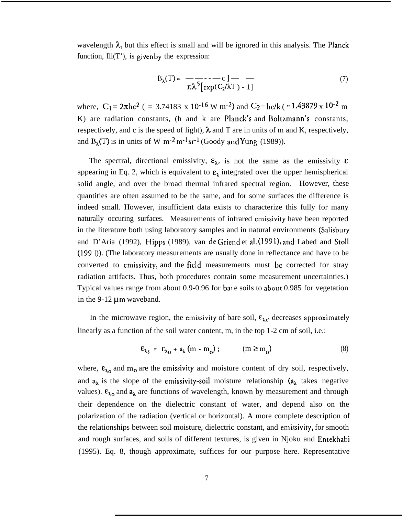wavelength  $\lambda$ , but this effect is small and will be ignored in this analysis. The Planck function,  $III(T')$ , is given by the expression:

$$
B_{\lambda}(T) = \frac{-\lambda}{\pi \lambda^{5} [\exp(C_{2}/\lambda T) - 1]} \tag{7}
$$

where,  $C_1 = 2\pi hc^2$  ( = 3.74183 x 10<sup>-16</sup> W m<sup>-2</sup>) and  $C_2 = hc/k$  (= 1.43879 x 10<sup>-2</sup> m K) are radiation constants, (h and k are Planck's and Boltzmann's constants, respectively, and c is the speed of light),  $\lambda$  and T are in units of m and K, respectively, and  $B_{\lambda}(T)$  is in units of W m<sup>-2</sup> m<sup>-1</sup> sr<sup>-1</sup> (Goody and Yung (1989)).

The spectral, directional emissivity,  $\varepsilon_{\lambda}$ , is not the same as the emissivity  $\varepsilon$ appearing in Eq. 2, which is equivalent to  $\varepsilon_{\lambda}$  integrated over the upper hemispherical solid angle, and over the broad thermal infrared spectral region. However, these quantities are often assumed to be the same, and for some surfaces the difference is indeed small. However, insufficient data exists to characterize this fully for many naturally occuring surfaces. Measurements of infrared emissivity have been reported in the literature both using laboratory samples and in natural environments (Salisbury and D'Aria (1992), Hipps (1989), van de Griend et al. (1991), and Labed and Stoll (199 ])). (The laboratory measurements are usually done in reflectance and have to be converted to emissivity, and the field measurements must be corrected for stray radiation artifacts. Thus, both procedures contain some measurement uncertainties.) Typical values range from about 0.9-0.96 for bate soils to about 0.985 for vegetation in the 9-12  $\mu$ m waveband.

In the microwave region, the emissivity of bare soil,  $\varepsilon_{\lambda s}$ , decreases approximately linearly as a function of the soil water content, m, in the top 1-2 cm of soil, i.e.:

$$
\varepsilon_{\lambda_S} = \varepsilon_{\lambda_O} + a_{\lambda} (m - m_o) ; \qquad (m \ge m_o)
$$
 (8)

where,  $\epsilon_{\lambda 0}$  and m<sub>0</sub> are the emissivity and moisture content of dry soil, respectively, and  $a_{\lambda}$  is the slope of the emissivity-soil moisture relationship  $(a_{\lambda})$  takes negative values).  $\varepsilon_{\lambda_0}$  and  $a_{\lambda}$  are functions of wavelength, known by measurement and through their dependence on the dielectric constant of water, and depend also on the polarization of the radiation (vertical or horizontal). A more complete description of the relationships between soil moisture, dielectric constant, and emissivity, for smooth and rough surfaces, and soils of different textures, is given in Njoku and Entekhabi (1995). Eq. 8, though approximate, suffices for our purpose here. Representative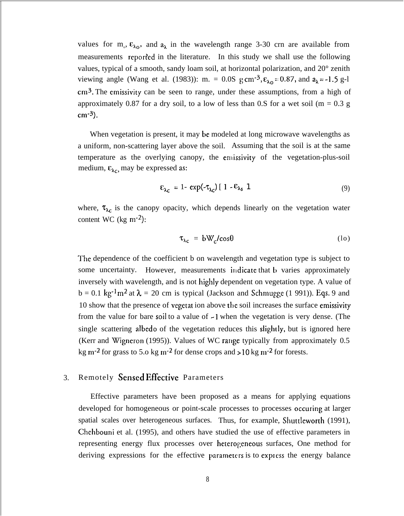values for m<sub>0</sub>,  $\varepsilon_{\lambda_0}$ , and  $a_{\lambda}$  in the wavelength range 3-30 crn are available from measurements reported in the literature. In this study we shall use the following values, typical of a smooth, sandy loam soil, at horizontal polarization, and 20° zenith viewing angle (Wang et al. (1983)): m. = 0.0S g cm<sup>-3</sup>,  $\varepsilon_{\lambda 0} = 0.87$ , and  $a_{\lambda} = -1.5$  g-1  $cm<sup>3</sup>$ . The emissivity can be seen to range, under these assumptions, from a high of approximately 0.87 for a dry soil, to a low of less than 0.S for a wet soil ( $m = 0.3$  g cm $-3$ ).

When vegetation is present, it may be modeled at long microwave wavelengths as a uniform, non-scattering layer above the soil. Assuming that the soil is at the same temperature as the overlying canopy, the emissivity of the vegetation-plus-soil medium,  $\varepsilon_{\lambda_c}$ , may be expressed as:

$$
\varepsilon_{\lambda_C} = 1 - \exp(-\tau_{\lambda_C}) \left[ 1 - \varepsilon_{\lambda_S} \right] \tag{9}
$$

where,  $\tau_{\lambda c}$  is the canopy opacity, which depends linearly on the vegetation water content WC (kg  $\rm m^{-2}$ ):

$$
\tau_{\lambda c} = bW_c / cos\theta \tag{10}
$$

The dependence of the coefficient b on wavelength and vegetation type is subject to some uncertainty. However, measurements indicate that **b** varies approximately inversely with wavelength, and is not highly dependent on vegetation type. A value of  $b = 0.1 \text{ kg}^{-1} \text{m}^2$  at  $\lambda = 20 \text{ cm}$  is typical (Jackson and Schmugge (1 991)). Eqs. 9 and 10 show that the presence of vegetat ion above the soil increases the surface emissivity from the value for bare soil to a value of -1 when the vegetation is very dense. (The single scattering albedo of the vegetation reduces this slightly, but is ignored here (Kerr and Wigneron (1995)). Values of WC range typically from approximately 0.5 kg m<sup>-2</sup> for grass to 5.0 kg m<sup>-2</sup> for dense crops and  $>10$  kg m<sup>-2</sup> for forests.

#### 3. Remotely Sensed EfFective Parameters

Effective parameters have been proposed as a means for applying equations developed for homogeneous or point-scale processes to processes occuring at larger spatial scales over heterogeneous surfaces. Thus, for example, Shuttleworth (1991), Chehbouni et al. (1995), and others have studied the use of effective parameters in representing energy flux processes over heterogeneous surfaces. One method for deriving expressions for the effective parameters is to express the energy balance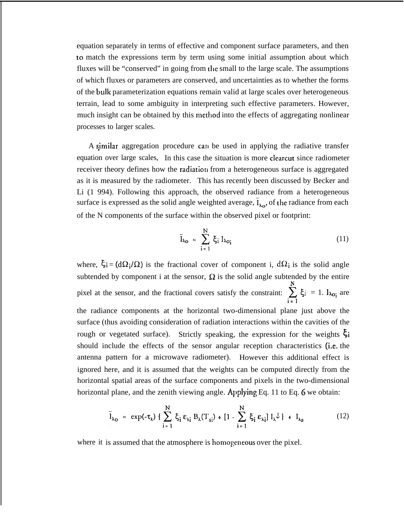equation separately in terms of effective and component surface parameters, and then to match the expressions term by term using some initial assumption about which fluxes will be "conserved" in going from the small to the large scale. The assumptions of which fluxes or parameters are conserved, and uncertainties as to whether the forms of the bulk parameterization equations remain valid at large scales over heterogeneous terrain, lead to some ambiguity in interpreting such effective parameters. However, much insight can be obtained by this method into the effects of aggregating nonlinear processes to larger scales.

A sjmilar aggregation procedure can be used in applying the radiative transfer equation over large scales, In this case the situation is more clearcut since radiometer receiver theory defines how the radiation from a heterogeneous surface is aggregated as it is measured by the radiometer. This has recently been discussed by Becker and Li (1 994). Following this approach, the observed radiance from a heterogeneous surface is expressed as the solid angle weighted average,  $\tilde{I}_{\lambda_{\Omega}}$ , of the radiance from each of the N components of the surface within the observed pixel or footprint:

$$
\bar{I}_{\lambda_{\mathbf{O}}} = \sum_{i=1}^{N} \xi_{i} I_{\lambda_{\mathbf{O}_{i}}} \tag{11}
$$

where,  $\xi_i = (d\Omega_i/\Omega)$  is the fractional cover of component i,  $d\Omega_i$  is the solid angle subtended by component i at the sensor,  $\Omega$  is the solid angle subtended by the entire **N**. pixel at the sensor, and the fractional covers satisfy the constraint:  $\sum_{i=1} \xi_i = 1$ .  $I_{\lambda o_i}$  are the radiance components at the horizontal two-dimensional plane just above the surface (thus avoiding consideration of radiation interactions within the cavities of the rough or vegetated surface). Strictly speaking, the expression for the weights  $\xi_i$ should include the effects of the sensor angular reception characteristics (i.e. the antenna pattern for a microwave radiometer). However this additional effect is ignored here, and it is assumed that the weights can be computed directly from the horizontal spatial areas of the surface components and pixels in the two-dimensional horizontal plane, and the zenith viewing angle. Applying Eq. 11 to Eq. 6 we obtain:

$$
\bar{I}_{\lambda_0} = \exp(-\tau_{\lambda}) \{ \sum_{i=1}^{N} \xi_i \epsilon_{\lambda_i} B_{\lambda}(T_{si}) + [1 - \sum_{i=1}^{N} \xi_i \epsilon_{\lambda_i}] I_{\lambda} \downarrow \} + I_{\lambda_0}
$$
(12)

where it is assumed that the atmosphere is homogeneous over the pixel.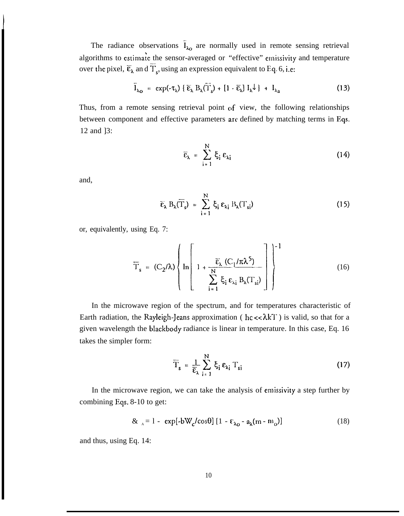The radiance observations  $I_{\lambda_0}$  are normally used in remote sensing retrieval algorithms to estimate the sensor-averaged or "effective" emissivity and temperature over the pixel,  $\overline{\epsilon}_\lambda$  and  $\overline{T}_s$ , using an expression equivalent to Eq. 6, i.e:

$$
\overline{I}_{\lambda_{\mathbf{O}}} = \exp(-\tau_{\lambda}) \{ \overline{\epsilon}_{\lambda} B_{\lambda}(\overline{T}_{s}) + [1 - \overline{\epsilon}_{\lambda}] I_{\lambda} \downarrow \} + I_{\lambda_{\mathbf{a}}} \tag{13}
$$

Thus, from a remote sensing retrieval point of view, the following relationships between component and effective parameters arc defined by matching terms in Eqs. 12 and ]3:

$$
\overline{\epsilon}_{\lambda} = \sum_{i=1}^{N} \xi_i \epsilon_{\lambda i}
$$
 (14)

and,

**I**

$$
\overline{\varepsilon}_{\lambda} B_{\lambda}(\overline{T}_{s}) = \sum_{i=1}^{N} \xi_{i} \varepsilon_{\lambda i} B_{\lambda}(T_{si})
$$
 (15)

or, equivalently, using Eq. 7:

$$
\overline{T}_s = (C_2/\lambda) \left\{ \ln \left[ 1 + \frac{\overline{\epsilon}_{\lambda} (C_1/\pi \lambda^5)}{\sum_{i=1}^{N} \xi_i \epsilon_{\lambda i} B_{\lambda} (T_{si})} \right] \right\}^{-1}
$$
(16)

In the microwave region of the spectrum, and for temperatures characteristic of Earth radiation, the Rayleigh-Jeans approximation ( $hc \ll \lambda kT$ ) is valid, so that for a given wavelength the blackbody radiance is linear in temperature. In this case, Eq. 16 takes the simpler form:

$$
\overline{T}_{s} = \frac{1}{\overline{\epsilon}_{\lambda}} \sum_{i=1}^{N} \xi_{i} \epsilon_{\lambda_{i}} T_{si}
$$
 (17)

In the microwave region, we can take the analysis of emissivity a step further by combining Eqs. 8-10 to get:

$$
\&_{A} = 1 - \exp[-bW_{c}/\cos\theta] \left[1 - \varepsilon_{\lambda_{0}} - a_{\lambda}(m - m_{o})\right] \tag{18}
$$

and thus, using Eq. 14: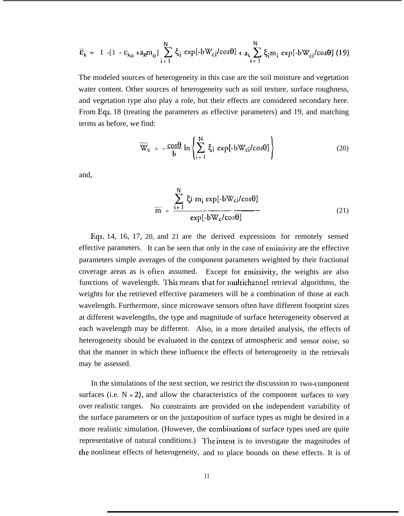$$
\overline{\varepsilon}_{\lambda} = 1 - [1 - \varepsilon_{\lambda_0} + a_{\lambda} m_{\lambda}] \sum_{i=1}^{N} \xi_i \exp[-bW_{ci}/cos\theta] + a_{\lambda} \sum_{i=1}^{N} \xi_i m_i \exp[-bW_{ci}/cos\theta] \tag{19}
$$

The modeled sources of heterogeneity in this case are the soil moisture and vegetation water content. Other sources of heterogeneity such as soil texture, surface roughness, and vegetation type also play a role, but their effects are considered secondary here. From Eqs. 18 (treating the parameters as effective parameters) and 19, and matching terms as before, we find:

$$
\overline{W}_c = -\frac{\cos\theta}{b} \ln \left\{ \sum_{i=1}^{N} \xi_i \exp[-bW_{ci}/\cos\theta] \right\}
$$
 (20)

and,

$$
\overline{m} = \frac{\sum_{i=1}^{N} \xi_i m_i \exp[-bW_{ci}/\cos\theta]}{\exp[-bW_{c}/\cos\theta]}
$$
(21)

Eqs. 14, 16, 17, 20, and 21 are the derived expressions for remotely sensed effective parameters. It can be seen that only in the case of emissivity are the effective parameters simple averages of the component parameters weighted by their fractional coverage areas as is often assumed. Except for emissivity, the weights are also functions of wavelength. This means that for multichannel retrieval algorithms, the weights for the retrieved effective parameters will be a combination of those at each wavelength. Furthermore, since microwave sensors often have different footprint sizes at different wavelengths, the type and magnitude of surface heterogeneity observed at each wavelength may be different. Also, in a more detailed analysis, the effects of heterogeneity should be evaluated in the contexl of atmospheric and sensor noise, so that the manner in which these influence the effects of heterogeneity in the retrievals may be assessed.

In the simulations of the next section, we restrict the discussion to two-component surfaces (i.e.  $N = 2$ ), and allow the characteristics of the component surfaces to vary over realistic ranges. No constraints are provided on the independent variability of the surface parameters or on the juxtaposition of surface types as might be desired in a more realistic simulation. (However, the combinations of surface types used are quite representative of natural conditions.) The intent is to investigate the magnitudes of the nonlinear effects of heterogeneity, and to place bounds on these effects. It is of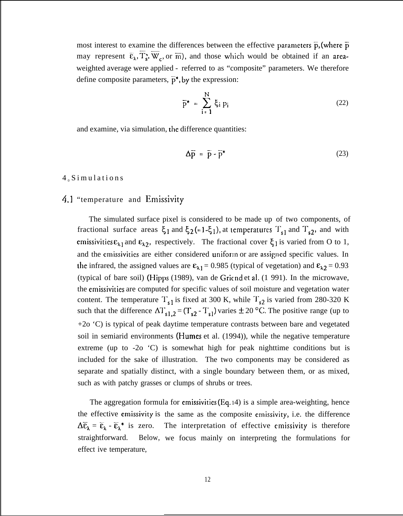most interest to examine the differences between the effective parameters  $\bar{p}$ , (where  $\bar{p}$ may represent  $\overline{\epsilon}_{\lambda}$ ,  $\overline{T}_{s}$ ,  $\overline{W}_{c}$ , or  $\overline{m}$ ), and those which would be obtained if an areaweighted average were applied - referred to as "composite" parameters. We therefore define composite parameters,  $\bar{p}^*$ , by the expression:

$$
\overline{p}^* = \sum_{i=1}^{N} \xi_i p_i \tag{22}
$$

and examine, via simulation, the difference quantities:

$$
\Delta \overline{p} = \overline{p} - \overline{p}^* \tag{23}
$$

#### $4<sub>0</sub>$  Simulations

# 4.1 "temperature and Emissivity

The simulated surface pixel is considered to be made up of two components, of fractional surface areas  $\xi_1$  and  $\xi_2 (= 1-\xi_1)$ , at temperatures  $T_{s1}$  and  $T_{s2}$ , and with emissivities  $\varepsilon_{\lambda 1}$  and  $\varepsilon_{\lambda 2}$ , respectively. The fractional cover  $\xi_1$  is varied from O to 1, and the emissivities are either considered uniform or are assigned specific values. In the infrared, the assigned values are  $\epsilon_{11} = 0.985$  (typical of vegetation) and  $\epsilon_{12} = 0.93$ (typical of bare soil) (Hipps (1989), van de Griend et al. (1991). In the microwave, the emissivities are computed for specific values of soil moisture and vegetation water content. The temperature  $T_{s1}$  is fixed at 300 K, while  $T_{s2}$  is varied from 280-320 K such that the difference  $\Delta T_{s1,2} = (T_{s2} - T_{s1})$  varies  $\pm 20$  °C. The positive range (up to +2o 'C) is typical of peak daytime temperature contrasts between bare and vegetated soil in semiarid environments (Humes et al. (1994)), while the negative temperature extreme (up to  $-2o$   $\degree$ C) is somewhat high for peak nighttime conditions but is included for the sake of illustration. The two components may be considered as separate and spatially distinct, with a single boundary between them, or as mixed, such as with patchy grasses or clumps of shrubs or trees.

The aggregation formula for emissivities (Eq. 14) is a simple area-weighting, hence the effective emissivity is the same as the composite emissivity, i.e. the difference  $\Delta \bar{\epsilon}_\lambda = \bar{\epsilon}_\lambda$  -  $\bar{\epsilon}_\lambda^*$  is zero. The interpretation of effective emissivity is therefore straightforward. effect ive temperature, Below, we focus mainly on interpreting the formulations for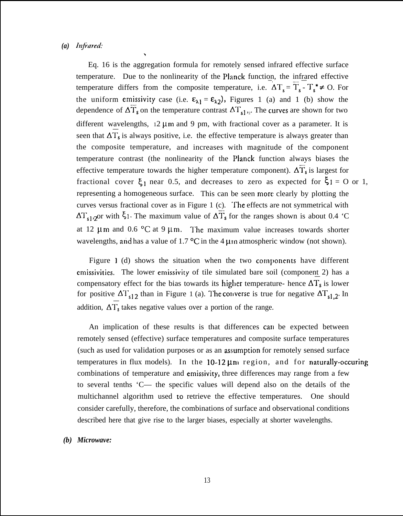#### *(a) Injiared:*

*h*

Eq. 16 is the aggregation formula for remotely sensed infrared effective surface temperature. Due to the nonlinearity of the Planck function, the infrared effective temperature differs from the composite temperature, i.e.  $\Delta T_s = T_s - T_s^* \neq 0$ . For the uniform emissivity case (i.e.  $\epsilon_{\lambda 1} = \epsilon_{\lambda 2}$ ), Figures 1 (a) and 1 (b) show the dependence of  $\Delta T_s$  on the temperature contrast  $\Delta T_{s1}$ ,. The curves are shown for two different wavelengths,  $12 \mu m$  and 9 pm, with fractional cover as a parameter. It is seen that  $\Delta T_s$  is always positive, i.e. the effective temperature is always greater than the composite temperature, and increases with magnitude of the component temperature contrast (the nonlinearity of the Planck function always biases the effective temperature towards the higher temperature component).  $\Delta \overline{T}_s$  is largest for fractional cover  $\xi_1$  near 0.5, and decreases to zero as expected for  $\xi_1 = O$  or 1, representing a homogeneous surface. This can be seen more clearly by plotting the curves versus fractional cover as in Figure 1 (c). The effects are not symmetrical with  $\Delta T_{s1,2}$ or with  $\xi_1$ . The maximum value of  $\Delta T_s$  for the ranges shown is about 0.4 'C at 12  $\mu$ m and 0.6 °C at 9  $\mu$ m. The maximum value increases towards shorter wavelengths, and has a value of 1.7  $\textdegree$ C in the 4  $\mu$ m atmospheric window (not shown).

Figure  $1$  (d) shows the situation when the two components have different emissivities. The lower emissivity of tile simulated bare soil (component 2) has a compensatory effect for the bias towards its higher temperature- hence  $\Delta T_s$  is lower for positive  $\Delta T_{s12}$  than in Figure 1 (a). The converse is true for negative  $\Delta T_{s1,2}$ . In addition,  $\Delta T_s$  takes negative values over a portion of the range.

An implication of these results is that differences can be expected between remotely sensed (effective) surface temperatures and composite surface temperatures (such as used for validation purposes or as an assumption for remotely sensed surface temperatures in flux models). In the  $10-12 \mu m$  region, and for naturally-occuring combinations of temperature and emissivity, three differences may range from a few to several tenths 'C— the specific values will depend also on the details of the multichannel algorithm used to retrieve the effective temperatures. One should consider carefully, therefore, the combinations of surface and observational conditions described here that give rise to the larger biases, especially at shorter wavelengths.

#### *(b) Microwave:*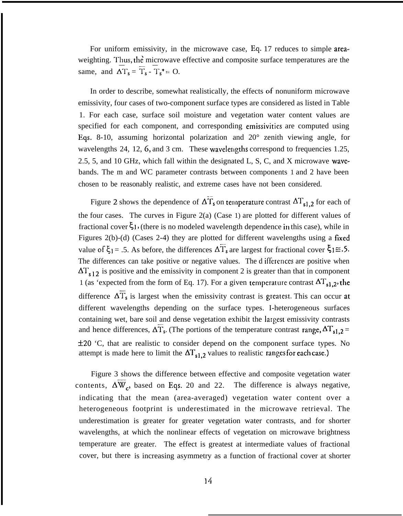For uniform emissivity, in the microwave case, Eq. 17 reduces to simple areaweighting. Thus, the microwave effective and composite surface temperatures are the same, and  $\Delta T_s = \overline{T}_s - T_s^* = O$ .

In order to describe, somewhat realistically, the effects of nonuniform microwave emissivity, four cases of two-component surface types are considered as listed in Table 1. For each case, surface soil moisture and vegetation water content values are specified for each component, and corresponding emissivities are computed using Eqs. 8-10, assuming horizontal polarization and 20° zenith viewing angle, for wavelengths 24, 12, 6, and 3 cm. These wavelengths correspond to frequencies 1.25, 2.5, 5, and 10 GHz, which fall within the designated L, S, C, and X microwave wavebands. The m and WC parameter contrasts between components 1 and 2 have been chosen to be reasonably realistic, and extreme cases have not been considered.

Figure 2 shows the dependence of  $\Delta T_s$  on temperature contrast  $\Delta T_{s1,2}$  for each of the four cases. The curves in Figure 2(a) (Case 1) are plotted for different values of fractional cover  $\xi_1$ , (there is no modeled wavelength dependence in this case), while in Figures 2(b)-(d) (Cases 2-4) they are plotted for different wavelengths using a fixed value of  $\xi_1 = .5$ . As before, the differences  $\Delta\overline{T}_s$  are largest for fractional cover  $\xi_1 \equiv .5$ . The differences can take positive or negative values. The d iffercnces are positive when  $\Delta T_{s12}$  is positive and the emissivity in component 2 is greater than that in component 1 (as 'expected from the form of Eq. 17). For a given temperature contrast  $\Delta T_{s1,2}$ , the difference  $\Delta T_s$  is largest when the emissivity contrast is greatest. This can occur at different wavelengths depending on the surface types. I-heterogeneous surfaces containing wet, bare soil and dense vegetation exhibit the largest emissivity contrasts and hence differences,  $\Delta T_s$ . (The portions of the temperature contrast range,  $\Delta T_{s1,2} =$  $±20$  'C, that are realistic to consider depend on the component surface types. No attempt is made here to limit the  $\Delta T_{s1,2}$  values to realistic ranges for each case.)

Figure 3 shows the difference between effective and composite vegetation water contents,  $\Delta W_c$ , based on Eqs. 20 and 22. The difference is always negative, indicating that the mean (area-averaged) vegetation water content over a heterogeneous footprint is underestimated in the microwave retrieval. The underestimation is greater for greater vegetation water contrasts, and for shorter wavelengths, at which the nonlinear effects of vegetation on microwave brightness temperature are greater. The effect is greatest at intermediate values of fractional cover, but there is increasing asymmetry as a function of fractional cover at shorter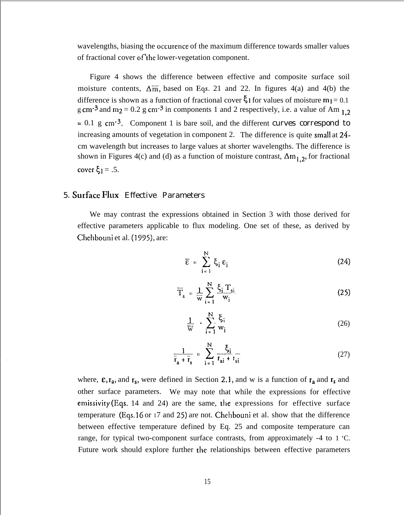wavelengths, biasing the occurence of the maximum difference towards smaller values of fractional cover of'the lower-vegetation component.

Figure 4 shows the difference between effective and composite surface soil moisture contents,  $\Delta \overline{m}$ , based on Eqs. 21 and 22. In figures 4(a) and 4(b) the difference is shown as a function of fractional cover  $\zeta_1$  for values of moisture  $m_1 = 0.1$ g cm<sup>-3</sup> and m<sub>2</sub> = 0.2 g cm<sup>-3</sup> in components 1 and 2 respectively, i.e. a value of Am  $_{1,2}$  $= 0.1$  g cm<sup>-3</sup>. Component 1 is bare soil, and the different curves correspond to increasing amounts of vegetation in component 2. The difference is quite small at 24 cm wavelength but increases to large values at shorter wavelengths. The difference is shown in Figures 4(c) and (d) as a function of moisture contrast,  $\Delta m_{1,2}$ , for fractional cover  $\xi_1 = .5$ .

# 5. Surface Flux Effective Parameters

We may contrast the expressions obtained in Section 3 with those derived for effective parameters applicable to flux modeling. One set of these, as derived by Chehbouni et al. (1995), are:

$$
\overline{\varepsilon} = \sum_{i=1}^{N} \xi_i \varepsilon_i
$$
 (24)

$$
\overline{T}_s = \frac{1}{\overline{w}} \sum_{i=1}^{N} \frac{\xi_i T_{si}}{w_i}
$$
 (25)

$$
\frac{1}{\overline{w}} \cdot \sum_{i=1}^{N} \frac{\xi_i}{w_i} \tag{26}
$$

$$
\frac{1}{\overline{r}_a + \overline{r}_s} = \sum_{i=1}^{N} \frac{\xi_i}{r_{ai} + r_{si}}
$$
(27)

where,  $\epsilon$ ,  $r_a$ , and  $r_s$ , were defined in Section 2.1, and w is a function of  $r_a$  and  $r_s$  and other surface parameters. We may note that while the expressions for effective emissivity (Eqs. 14 and 24) are the same, the expressions for effective surface temperature (Eqs. 16 or 17 and *25)* are not. Chehbouni et al. show that the difference between effective temperature defined by Eq. 25 and composite temperature can range, for typical two-component surface contrasts, from approximately -4 to 1 'C. Future work should explore further the relationships between effective parameters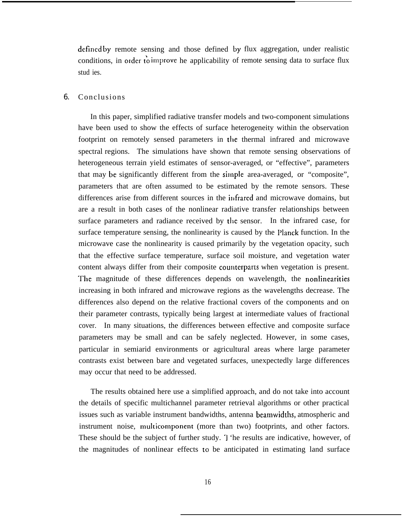defrned by remote sensing and those defined by flux aggregation, under realistic conditions, in order to improve he applicability of remote sensing data to surface flux stud ies.

#### 6. Conclusions

In this paper, simplified radiative transfer models and two-component simulations have been used to show the effects of surface heterogeneity within the observation footprint on remotely sensed parameters in the thermal infrared and microwave spectral regions. The simulations have shown that remote sensing observations of heterogeneous terrain yield estimates of sensor-averaged, or "effective", parameters that may be significantly different from the silnple area-averaged, or "composite", parameters that are often assumed to be estimated by the remote sensors. These differences arise from different sources in the infrared and microwave domains, but are a result in both cases of the nonlinear radiative transfer relationships between surface parameters and radiance received by die sensor. In the infrared case, for surface temperature sensing, the nonlinearity is caused by the Planck function. In the microwave case the nonlinearity is caused primarily by the vegetation opacity, such that the effective surface temperature, surface soil moisture, and vegetation water content always differ from their composite counterparts when vegetation is present. The magnitude of these differences depends on wavelength, the nonlinearities increasing in both infrared and microwave regions as the wavelengths decrease. The differences also depend on the relative fractional covers of the components and on their parameter contrasts, typically being largest at intermediate values of fractional cover. In many situations, the differences between effective and composite surface parameters may be small and can be safely neglected. However, in some cases, particular in semiarid environments or agricultural areas where large parameter contrasts exist between bare and vegetated surfaces, unexpectedly large differences may occur that need to be addressed.

The results obtained here use a simplified approach, and do not take into account the details of specific multichannel parameter retrieval algorithms or other practical issues such as variable instrument bandwidths, antenna beamwidths, atmospheric and instrument noise, multicomponent (more than two) footprints, and other factors. These should be the subject of further study. I 'he results are indicative, however, of the magnitudes of nonlinear effects to be anticipated in estimating land surface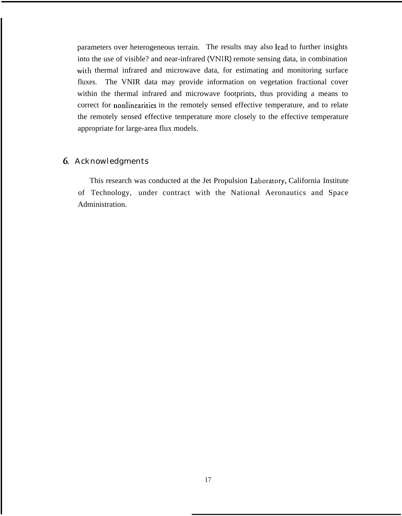parameters over heterogeneous terrain. The results may also lead to further insights into the use of visible? and near-infrared (VNIR) remote sensing data, in combination with thermal infrared and microwave data, for estimating and monitoring surface fluxes. The VNIR data may provide information on vegetation fractional cover within the thermal infrared and microwave footprints, thus providing a means to correct for nonlinearities in the remotely sensed effective temperature, and to relate the remotely sensed effective temperature more closely to the effective temperature appropriate for large-area flux models.

# 6. Acknowledgments

This research was conducted at the Jet Propulsion I.aboratory, California Institute of Technology, under contract with the National Aeronautics and Space Administration.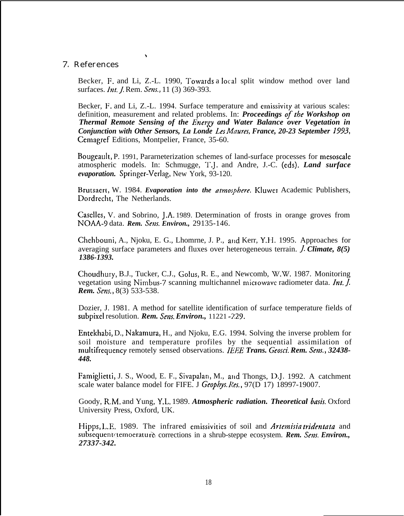## 7. References

 $\ddot{\phantom{1}}$ 

Becker, F. and Li, Z.-L. 1990, Towards a local split window method over land surfaces. *Int. J.* Rem. *Sens.*, 11 (3) 369-393.

Becker, F. and Li, Z.-L. 1994. Surface temperature and emissivity at various scales: definition, measurement and related problems. In: *Proceedings of the Workshop on Thermal Remote Sensing of the Energy and Water Balance over Vegetation in Conjunction with Other Sensors, La Londe Les Mizures, France, 20-23 September* 1993, Cemagref Editions, Montpelier, France, 35-60.

Bougeault, P. 1991, Pararneterization schemes of land-surface processes for mesoscde atmospheric models. In: Schmugge, T.J. and Andre, J.-C. (eds). *Land surface evaporation.* Springer-Verlag, New York, 93-120.

Brutsaert, W. 1984. *Evaporation into the atmosphere*. Kluwer Academic Publishers, Dordrecht, The Netherlands.

Caselles, V. and Sobrino, J.A. 1989. Determination of frosts in orange groves from NC)AA-9 data. *Rem. Sens. Environ.,* 29135-146.

Chehbouni, A., Njoku, E. G., Lhomrne, J. P., and Kerr, Y.H. 1995. Approaches for averaging surface parameters and fluxes over heterogeneous terrain. *J. Climate*, 8(5) *1386-1393.*

Choudhury, B.J., Tucker, C.J., Golus, R. E., and Newcomb, W.W. 1987. Monitoring vegetation using Nimbus-7 scanning multichannel microwave radiometer data. *Int. J. Rem. Sens.,* 8(3) 533-538.

Dozier, J. 1981. A method for satellite identification of surface temperature fields of subpixel resolution. *Rem. Sens. Environ.*, 11221 -229.

Entekhabi, D., Nakamura, H., and Njoku, E.G. 1994. Solving the inverse problem for soil moisture and temperature profiles by the sequential assimilation of multifrequency remotely sensed observations. *IEEE Trans. Geosci. Rem. Sens., 32438- 448.*

Famiglietti, J. S., Wood, E. F., Sivapalan, M., and Thongs, D.J. 1992. A catchment scale water balance model for FIFE. J Geophys. Res., 97(D 17) 18997-19007.

Goody, R.M, and Yung, Y.L. 1989. *Atmospheric radiation. Theoretical basis.* Oxford University Press, Oxford, UK.

Hipps, L.E. 1989. The infrared ernissivities of soil and *Artemisia tridentata* and subsequent *temoerature* corrections in a shrub-steppe ecosystem. *Rem. Sens. Environ.*, *27337-342.*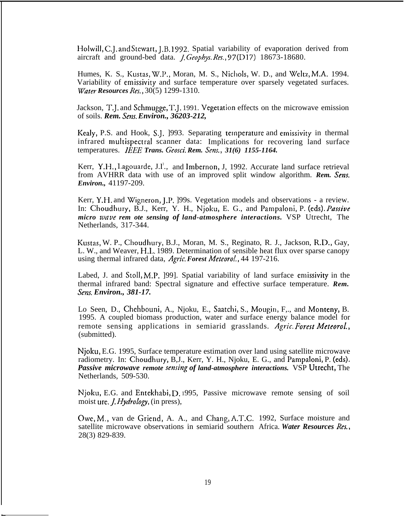Holwill, C.J. and Stewart, J.B. 1992. Spatial variability of evaporation derived from aircraft and ground-bed data. f, Geopbys. *Res.,* 97(D17) 18673-18680.

Humes, K. S., Kustas, W.P., Moran, M. S., Nichols, W. D., and Weltz, M.A. 1994. Variability of emissivity and surface temperature over sparsely vegetated surfaces. *Water Resources Res.,* 30(5) 1299-1310.

Jackson, T.J. and Schmugge, T.J. 1991. Vegetation effects on the microwave emission of soils. *Rem. Sens. Environ.*, 36203-212,

Kealy, P.S. and Hook, S.J. 1993. Separating temperature and emissivity in thermal infrared multispectral scanner data: Implications for recovering land surface temperatures. *lEEE Trans. Geosci. Rem. Sens., 31(6) 1155-1164.*

Kerr, Y.H., Lagouarde, J.I<sup>'</sup>., and Imbernon, J, 1992. Accurate land surface retrieval from AVHRR data with use of an improved split window algorithm. *Rem. Sens. Environ.,* 41197-209.

Kerr, Y.H. and Wigneron, J.P. ]99s. Vegetation models and observations - a review. In: Choudhury, B.J., Kerr, Y. H., Njoku, E. G., and Pampaloni, P. (eds). *Passive micro wave rem ote sensing of land-atmosphere interactions.* VSP Utrecht, The Netherlands, 317-344.

Kustas, W. P., Choudhury, B.J., Moran, M. S., Reginato, R. J., Jackson, R.L>., Gay, L. W., and Weaver, H,L. 1989. Determination of sensible heat flux over sparse canopy using thermal infrared data, *Agric. Forest Meteorol.*, 44 197-216.

Labed, J. and Stoll, M.P. ]99]. Spatial variability of land surface emissivity in the thermal infrared band: Spectral signature and effective surface temperature. *Rem. Sens. Environ., 381-17.*

Lo Seen, D., Chehbouni, A., Njoku, E., Saatchi, S., Mougin, F,., and Monteny, B. 1995. A coupled biomass production, water and surface energy balance model for remote sensing applications in semiarid grasslands. Agric. Forest Meteorol., (submitted).

Njoku, E.G. 1995, Surface temperature estimation over land using satellite microwave radiometry. In: Choudhury, B,J., Kerr, Y. H., Njoku, E. G., and Pampaloni, P. (eds). *Passive microwave remote sensing of land-atmosphere interactions.* VSP Utrecht, The Netherlands, 509-530.

Njoku, E.G. and Entekhabi, D. 1995, Passive microwave remote sensing of soil moist ure, ]. *HydroIogy,* (in press),

C)we, M,, van de Griend, A. A., and Chang, A,T.C. 1992, Surface moisture and satellite microwave observations in semiarid southern Africa. *Water Resources Res,,* 28(3) 829-839.

—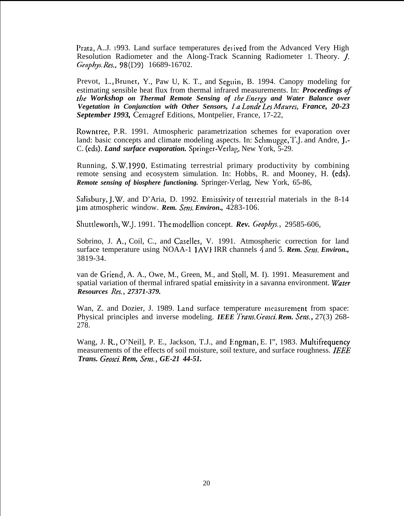Prata, A.J. 1993. Land surface temperatures delived from the Advanced Very High Resolution Radiometer and the Along-Track Scanning Radiometer 1. Theory. *J. G'eopbys. Res.,98(D9)* 16689-16702.

Prevot, L,, Brunet, Y., Paw U, K. T., and Seguin, B. 1994. Canopy modeling for estimating sensible heat flux from thermal infrared measurements. In: *Proceedings of the Workshop on Thermal Remote Sensing of the Energy and Water Balance over Vegetation in Conjunction with Other Sensors, la Lond~ Les Maures, France, 20-23 September 1993,* Cemagref Editions, Montpelier, France, 17-22,

Rowntree, P.R. 1991. Atmospheric parametrization schemes for evaporation over land: basic concepts and climate modeling aspects. In: Schmugge, T.J. and Andre, J.- C. (eds). *Land surface evaporation*. Springer-Verlag, New York, 5-29.

Running, S.W, 199o. Estimating terrestrial primary productivity by combining remote sensing and ecosystem simulation. In: Hobbs, R. and Mooney, H. (eds). *Remote sensing of biosphere functioning.* Springer-Verlag, New York, 65-86,

Salisbury, J.W. and D'Aria, D. 1992. Emissivity of terrestrial materials in the 8-14 µm atmospheric window. *Rem. Sens. Environ.*, 4283-106.

Shuttleworth, W.J. 1991. The modellion concept. *Rev. Geophys.*, 29585-606,

Sobrino, J. A,, Coil, C., and Caselles, V. 1991. Atmospheric correction for land surface temperature using NOAA-1 <sup>1</sup> AV1 IRR channels 4 and 5. *Rem. Sens. Environ.,* 3819-34.

van de Griend, A. A., Owe, M., Green, M., and Stoll, M. I). 1991. Measurement and spatial variation of thermal infrared spatial ernissivity in a savanna environment. *Water Resources Res., 27371-379.*

Wan, Z. and Dozier, J. 1989. Land surface temperature measurement from space: Physical principles and inverse modeling. *IEEE Trans. Geosci. Rem. Sens.*, 27(3) 268-278.

Wang, J. R., O'Neil], P. E., Jackson, T.J., and Engman, E. I", 1983. Multifrequency measurements of the effects of soil moisture, soil texture, and surface roughness. *IEEE Trans. Geosci. Rem, Sens., GE-21 44-51.*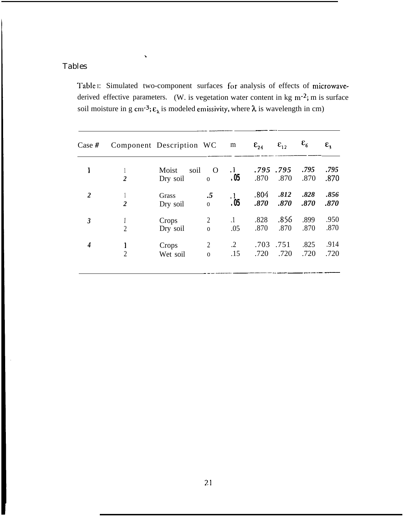# Tables

\

**I**

Table I: Simulated two-component surfaces for analysis of effects of microwavederived effective parameters. (W. is vegetation water content in kg  $m^{-2}$ ; m is surface soil moisture in g cm<sup>-3</sup>;  $\varepsilon_{\lambda}$  is modeled emissivity, where  $\lambda$  is wavelength in cm)

| Case  #        |                | Component Description WC  |                                | m                 | $\epsilon_{24}$  | $\epsilon_{12}$ | $\varepsilon_6$ | $\varepsilon$ <sub>3</sub> |
|----------------|----------------|---------------------------|--------------------------------|-------------------|------------------|-----------------|-----------------|----------------------------|
| 1              | $\overline{2}$ | soil<br>Moist<br>Dry soil | $\Omega$<br>$\mathbf{O}$       | $\cdot$ 1<br>. 05 | .795.795<br>.870 | .870            | .795<br>.870    | .795<br>.870               |
| $\overline{2}$ | $\overline{2}$ | Grass<br>Dry soil         | .5<br>$\mathbf{O}$             | $\cdot$ 1<br>.05  | .804<br>.870     | .812<br>.870    | .828<br>.870    | .856<br>.870               |
| $\mathfrak{z}$ | $\overline{2}$ | Crops<br>Dry soil         | $\overline{2}$<br>$\mathbf{O}$ | $\cdot$ 1<br>.05  | .828<br>.870     | .856<br>.870    | .899<br>.870    | .950<br>.870               |
| 4              | $\overline{2}$ | Crops<br>Wet soil         | $\overline{2}$<br>$\Omega$     | $\cdot$ 2<br>.15  | .703<br>.720     | .751<br>.720    | .825<br>.720    | .914<br>.720               |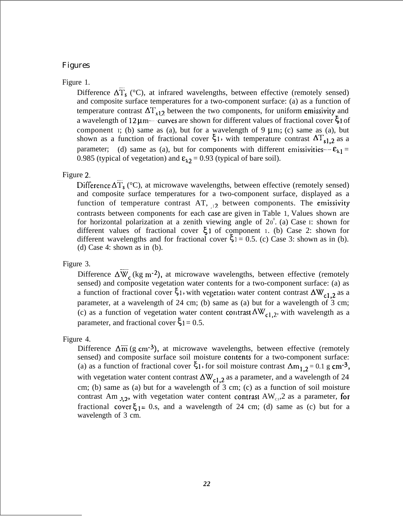# Figures

Figure 1.

Difference  $\Delta T_s$  (°C), at infrared wavelengths, between effective (remotely sensed) and composite surface temperatures for a two-component surface: (a) as a function of temperature contrast  $\Delta T_{c12}$  between the two components, for uniform emissivity and a wavelength of  $12 \mu m$ ---curves are shown for different values of fractional cover  $\zeta$  of component I; (b) same as (a), but for a wavelength of 9  $\mu$ m; (c) same as (a), but shown as a function of fractional cover  $\xi_1$ , with temperature contrast  $\Delta T_{s1,2}$  as a parameter; (d) same as (a), but for components with different emissivities- $-\varepsilon_{\lambda 1} =$ 0.985 (typical of vegetation) and  $\epsilon_{12} = 0.93$  (typical of bare soil).

# Figure 2.

Difference  $\Delta T_s$  (°C), at microwave wavelengths, between effective (remotely sensed) and composite surface temperatures for a two-component surface, displayed as a function of temperature contrast AT,  $_{12}$  between components. The emissivity contrasts between components for each case are given in Table 1, Values shown are for horizontal polarization at a zenith viewing angle of  $20^{\circ}$ . (a) Case I: shown for different values of fractional cover  $\xi$ 1 of component 1. (b) Case 2: shown for different wavelengths and for fractional cover  $\xi_1 = 0.5$ . (c) Case 3: shown as in (b). (d) Case 4: shown as in (b).

Figure 3.

Difference  $\Delta \overline{W}_c$  (kg m<sup>-2</sup>), at microwave wavelengths, between effective (remotely sensed) and composite vegetation water contents for a two-component surface: (a) as a function of fractional cover  $\xi_1$ , with vegetation water content contrast  $\Delta W_{c1,2}$  as a parameter, at a wavelength of 24 cm; (b) same as (a) but for a wavelength of 3 cm; (c) as a function of vegetation water content contrast  $\Delta W_{c1,2}$ , with wavelength as a parameter, and fractional cover  $\zeta_1 = 0.5$ .

# Figure 4.

Difference  $\Delta \overline{m}$  (g cm<sup>-3</sup>), at microwave wavelengths, between effective (remotely sensed) and composite surface soil moisture contents for a two-component surface: (a) as a function of fractional cover  $\xi_1$ , for soil moisture contrast  $\Delta m_{1,2} = 0.1$  g cm<sup>-3</sup>, with vegetation water content contrast  $\Delta W_{c1,2}$  as a parameter, and a wavelength of 24 cm; (b) same as (a) but for a wavelength of 3 cm; (c) as a function of soil moisture contrast Am  $_{1,2}$ , with vegetation water content contrast AW<sub>C1</sub>,2 as a parameter, for fractional cover  $\xi_1 = 0$ .s, and a wavelength of 24 cm; (d) same as (c) but for a wavelength of 3 cm.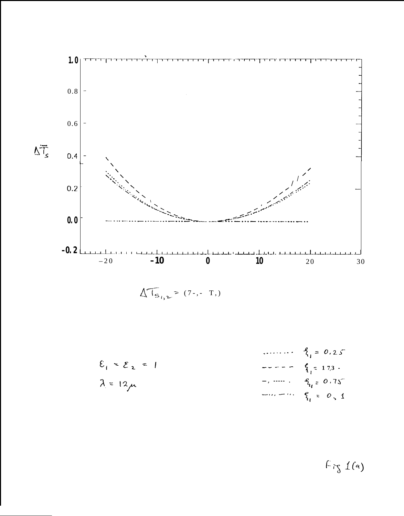

$$
\Delta T_{S_{i},2} \geq (7-,-T_{i})
$$

$$
\mathcal{E}_{1} \approx \mathcal{E}_{2} = 1
$$
\n
$$
\frac{q}{l_{1}} = 0.25
$$
\n
$$
-\cdots - \frac{q}{l_{1}} = 17.3
$$
\n
$$
-\cdots - \frac{q}{l_{1}} = 0.75
$$
\n
$$
-\cdots - \frac{q}{l_{1}} = 0.75
$$
\n
$$
-\cdots - \frac{q}{l_{1}} = 0.75
$$

 $F$ ig  $1(a)$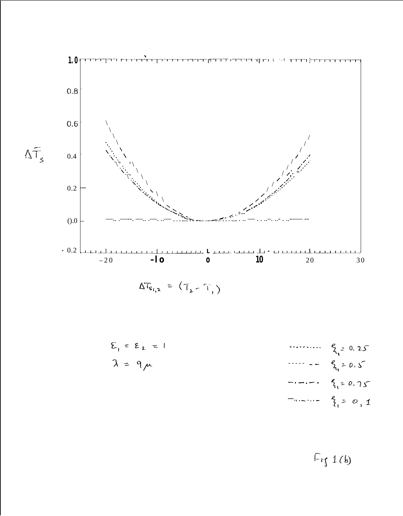

 $\Delta T_{s_{i,2}} = (T_{i,2} - T_{i,1})$ 

$$
\begin{aligned}\n\mathcal{E}_1 &= \mathcal{E}_2 = 1 & \dots & \mathcal{E}_{i} &= 0, 25 \\
\lambda &= 9\mu & \dots & -\mathcal{E}_{i_1} &= 0, 5 \\
& \dots & \mathcal{E}_{i_l} &= 0, 75 \\
& \dots & \mathcal{E}_{i_l} &= 0, 75\n\end{aligned}
$$

 $F_{T1}$  1(b)

 $\Delta \tilde{T_s}$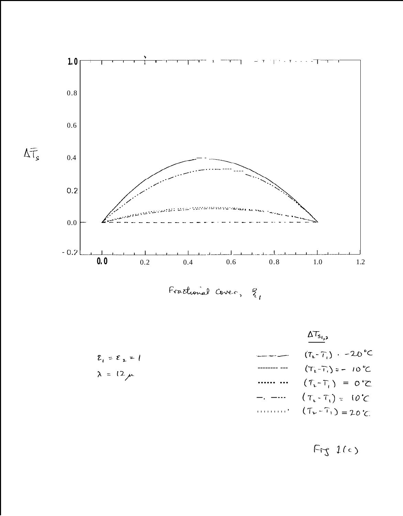

 $\Delta\overline{\mathsf{T}}_{\mathsf{s}}$ 

Fractional Cover, E,



 $Fry$   $l(c)$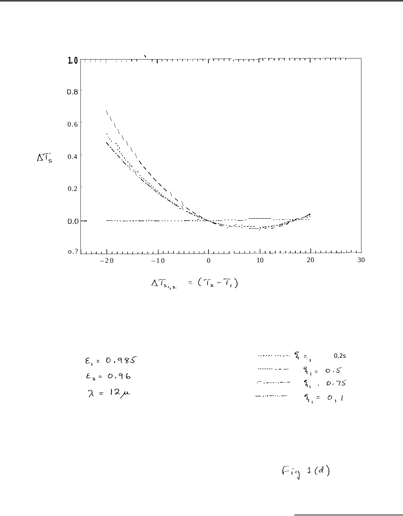

$$
\mathcal{E}_{1} = 0.985
$$
\n
$$
\mathcal{E}_{2} = 0.96
$$
\n
$$
\mathcal{E}_{3} = 0.96
$$
\n
$$
\mathcal{E}_{4} = 0.75
$$
\n
$$
\mathcal{E}_{5} = 0.12 \mu
$$
\n
$$
\mathcal{E}_{6} = 0.1
$$

 $Fig 1(d)$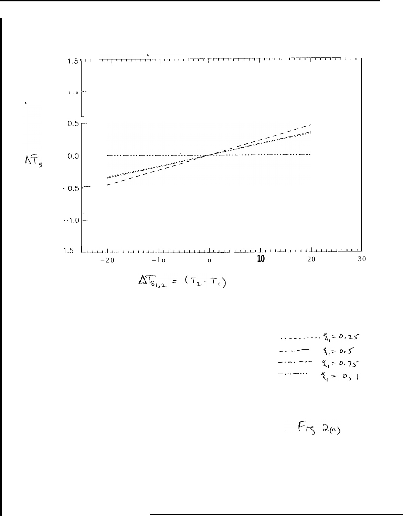

 $9.25$ <br>  $-22.25$ <br>  $-22.25$ <br>  $-22.25$ <br>  $-22.25$ <br>  $-22.25$ <br>  $-22.25$ <br>  $-22.25$ <br>  $-22.25$ <br>  $-22.25$ <br>  $-22.25$ <br>  $-22.25$ <br>  $-22.25$ <br>  $-22.25$ <br>  $-22.25$ <br>  $-22.25$ <br>  $-22.25$ <br>  $-22.25$ <br>  $-22.25$ <br>  $-22.25$ <br>  $-22.25$ <br>  $-22.25$ <br>  $-2$ 

# $FrS$   $2\omega$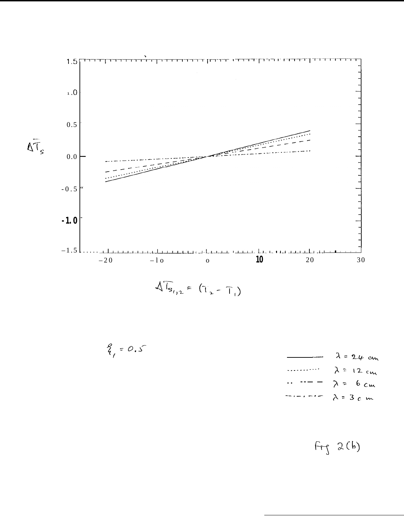

$$
\sqrt[4]{I_{s_{i_12}}} = (\top_{2} - \top_{1})
$$

 $\frac{2}{1}$  = 0.5

$$
\lambda = 24 \text{ cm}
$$
  
\n
$$
\lambda = 12 \text{ cm}
$$
  
\n
$$
\therefore \quad - = - \quad \lambda = 6 \text{ cm}
$$
  
\n
$$
\Rightarrow \quad - = \quad \lambda = 3 \text{ cm}
$$

 $Fry$   $2(b)$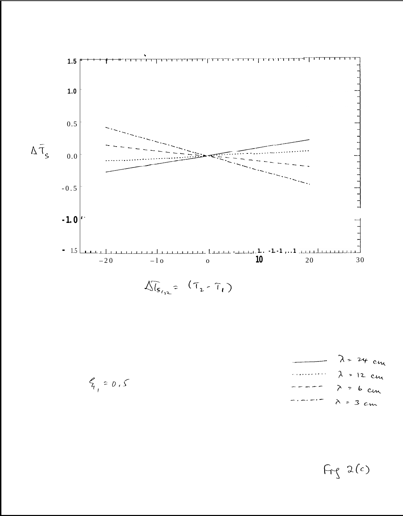

 $\sqrt[n]{\mathcal{S}_{\mathcal{S}_{12}}} = (\tau_{2} - \tau_{1})$ 

 $\lambda$  = 24 cm  $\lambda$  = 12 cm . . . . . .  $\lambda$  = 6 cm  $\lambda$  = 3 cm

 $5, 6, 5$ 

 $Fry$  2 (c)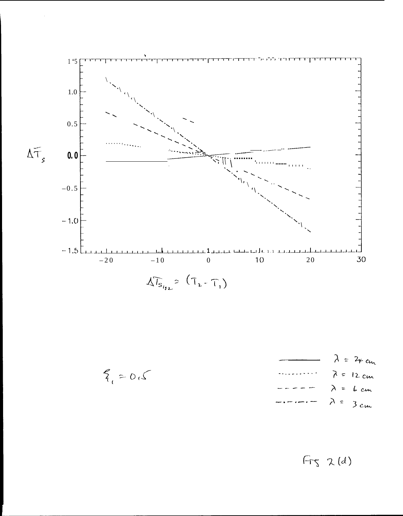

$$
\lambda = 24 \text{ cm}
$$
  
\n
$$
\lambda = 12 \text{ cm}
$$
  
\n
$$
-\lambda = 12 \text{ cm}
$$
  
\n
$$
-\lambda = 6 \text{ cm}
$$
  
\n
$$
-\lambda = 3 \text{ cm}
$$

 $2,05$ 

 $Frs$   $2(d)$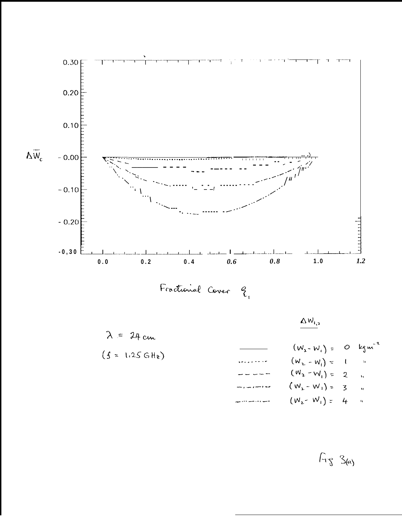

 $\Delta\,{\sf W}_{\rm I,2}$ 

$$
\lambda = 24 \text{ cm}
$$
\n
$$
(f = 1.25 \text{ GHz})
$$
\n
$$
(w_x - w_i) = 0 \text{ kgm}^2
$$
\n
$$
(w_x - w_i) = 1
$$
\n
$$
(w_x - w_i) = 2
$$
\n
$$
(w_x - w_i) = 2
$$
\n
$$
(w_x - w_i) = 2
$$
\n
$$
(w_x - w_i) = 3
$$
\n
$$
(w_x - w_i) = 3
$$
\n
$$
(w_x - w_i) = 4
$$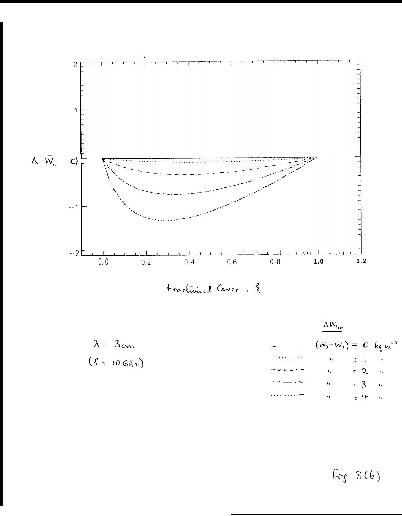

Fractional Cover, 2,

 $A W_{1,2}$  $\lambda = 3$ cm  $(w_2-w_1) = 0$   $kg m^2$  $(f = 10 \text{ GHz})$  $\bar{\mathbf{v}}_1$  $\ddot{\phantom{0}}$  $\tilde{\mathbf{u}}$  $\approx$  2  $\hat{\mathbf{v}}_0$  $\approx$  3  $\hat{\mathbf{u}}$  $54$  $\hat{\mathbf{q}}$  $\hat{\mathbf{a}}$ 

 $F_{36}$  3(6)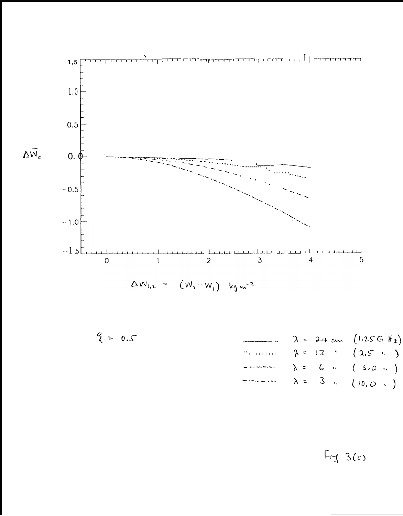

$$
\triangle W_{1,2} = (W_2 - W_1) \log m^{-2}
$$

$$
\begin{array}{ccc}\n\mathbf{P} = 0.5 & \lambda = 24 \text{ cm} & (1.25 \text{ G} \text{ H}_{2}) \\
& \lambda = 12 \text{ m} & (2.5 \text{ m}) \\
& & \\
\text{m} & \lambda = 6 \text{ m} & (5.0 \text{ m}) \\
& & \\
\text{m} & \lambda = 3 \text{ m} & (10.0 \text{ m})\n\end{array}
$$

 $F_{11}$  3(c)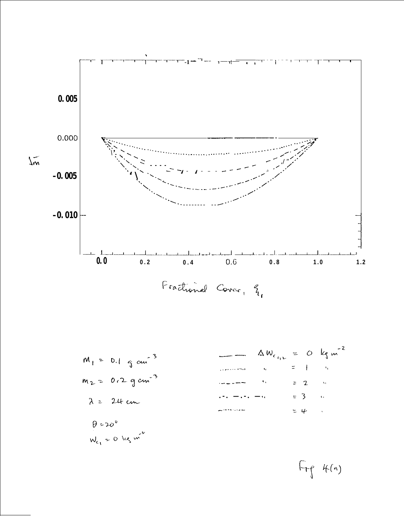

$$
M_{1} = 0.1 \text{ cm}^{-3}
$$
\n
$$
M_{2} = 0.2 \text{ cm}^{-3}
$$
\n
$$
M_{2} = 0.2 \text{ cm}^{-3}
$$
\n
$$
M_{2} = 0.2 \text{ cm}^{-3}
$$
\n
$$
M_{2} = 0.2 \text{ cm}^{-3}
$$
\n
$$
M_{2} = 0.2 \text{ cm}^{-3}
$$
\n
$$
M_{2} = 0.2 \text{ cm}^{-3}
$$
\n
$$
M_{2} = 0.2 \text{ cm}^{-3}
$$
\n
$$
M_{2} = 0.2 \text{ cm}^{-3}
$$
\n
$$
M_{2} = 0.2 \text{ cm}^{-3}
$$
\n
$$
M_{2} = 0.2 \text{ cm}^{-3}
$$
\n
$$
M_{2} = 0.2 \text{ cm}^{-3}
$$
\n
$$
M_{2} = 0.2 \text{ cm}^{-3}
$$
\n
$$
M_{2} = 0.2 \text{ cm}^{-3}
$$
\n
$$
M_{2} = 0.2 \text{ cm}^{-3}
$$
\n
$$
M_{2} = 0.2 \text{ cm}^{-3}
$$
\n
$$
M_{2} = 0.2 \text{ cm}^{-3}
$$
\n
$$
M_{2} = 0.2 \text{ cm}^{-3}
$$
\n
$$
M_{2} = 0.2 \text{ cm}^{-3}
$$
\n
$$
M_{2} = 0.2 \text{ cm}^{-3}
$$
\n
$$
M_{2} = 0.2 \text{ cm}^{-3}
$$
\n
$$
M_{2} = 0.2 \text{ cm}^{-3}
$$
\n
$$
M_{2} = 0.2 \text{ cm}^{-3}
$$
\n
$$
M_{2} = 0.2 \text{ cm}^{-3}
$$
\n
$$
M_{2} = 0.2 \text{ cm}^{-3}
$$
\n
$$
M_{2} = 0.2 \text{ cm}^{-3}
$$
\n
$$
M_{2} = 0.2 \text{ cm}^{-3}
$$
\n
$$
M_{2} = 0.2 \text{ cm}^{-3}
$$
\n
$$
M_{2} = 0.2 \text{ cm}^{-3}
$$
\n
$$
M_{2} =
$$

 $W_{c_1}$  = 0 kg m<sup>2</sup>

 $F_{\uparrow\uparrow}$  4(a)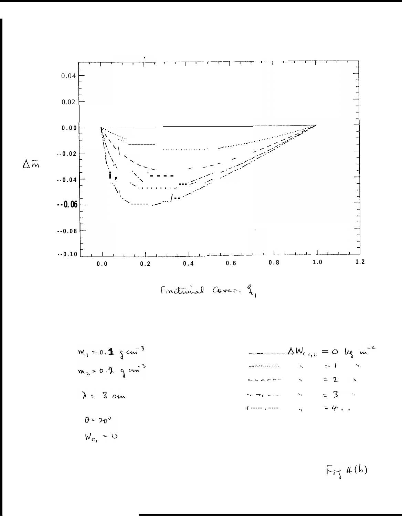

$$
m_1 = 0.13 cm-3
$$
  
\n
$$
m_2 = 0.12 cm-3
$$
  
\n
$$
λ = 3 cm
$$
  
\n
$$
m_2 = 0.14 cm-3
$$
  
\n
$$
= 2 cm-3
$$
  
\n
$$
= 2 cm-3
$$
  
\n
$$
= 3 cm-3
$$
  
\n
$$
= 2 cm-3
$$
  
\n
$$
= 4 cm-3
$$
  
\n
$$
= 2 cm-3
$$
  
\n
$$
= 4 cm-3
$$

 $F_{\uparrow\uparrow}$  k(b)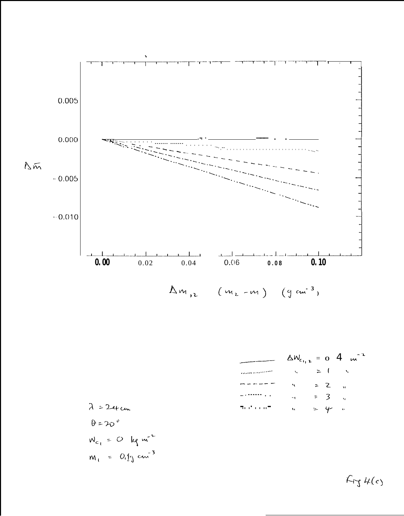

$$
\Delta W_{c_{1,2}} = 0.4 \text{ m}^{-2}
$$
  
\n
$$
= 1 \text{ m}^{-2}
$$
  
\n
$$
= 2 \text{ m}
$$
  
\n
$$
= 3 \text{ m}
$$
  
\n
$$
= 4 \text{ m}^{-2}
$$
  
\n
$$
= 3 \text{ m}
$$

$$
\lambda = 24 \text{ cm}
$$
\n
$$
\theta = 20^\circ
$$
\n
$$
W_{c_1} = 0 \text{ kg m}^{-2}
$$
\n
$$
M_1 = 0.1 \text{ cm}^{-3}
$$

 $K_{rJ}$ 4(c)